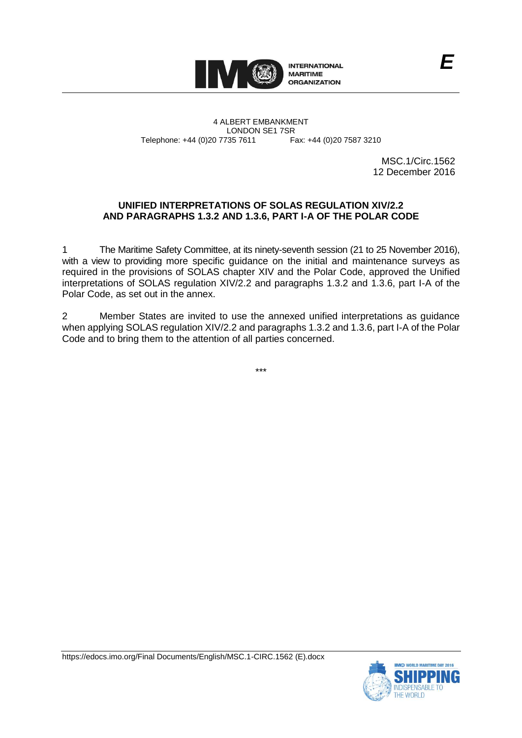

4 ALBERT EMBANKMENT Telephone: +44 (0)20 7735 7611

LONDON SE1 7SR<br>735 7611 Fax: +44 (0)20 7587 3210

MSC.1/Circ.1562 12 December 2016

## **UNIFIED INTERPRETATIONS OF SOLAS REGULATION XIV/2.2 AND PARAGRAPHS 1.3.2 AND 1.3.6, PART I-A OF THE POLAR CODE**

1 The Maritime Safety Committee, at its ninety-seventh session (21 to 25 November 2016), with a view to providing more specific guidance on the initial and maintenance surveys as required in the provisions of SOLAS chapter XIV and the Polar Code, approved the Unified interpretations of SOLAS regulation XIV/2.2 and paragraphs 1.3.2 and 1.3.6, part I-A of the Polar Code, as set out in the annex.

2 Member States are invited to use the annexed unified interpretations as guidance when applying SOLAS regulation XIV/2.2 and paragraphs 1.3.2 and 1.3.6, part I-A of the Polar Code and to bring them to the attention of all parties concerned.

\*\*\*

https://edocs.imo.org/Final Documents/English/MSC.1-CIRC.1562 (E).docx

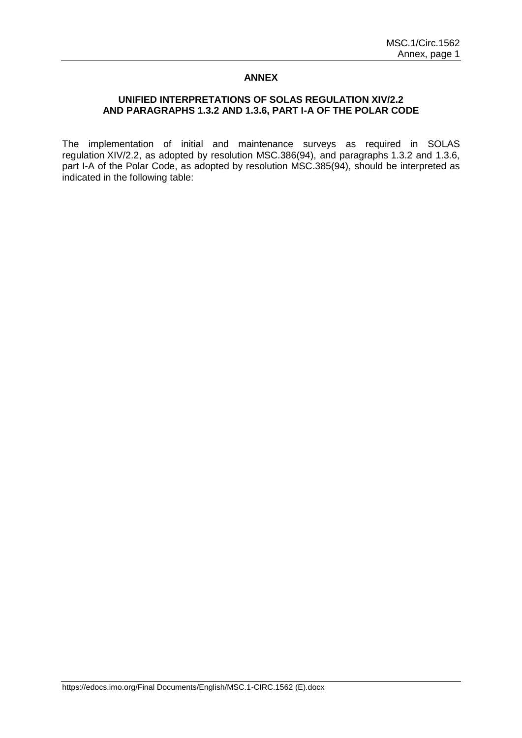## **ANNEX**

## **UNIFIED INTERPRETATIONS OF SOLAS REGULATION XIV/2.2 AND PARAGRAPHS 1.3.2 AND 1.3.6, PART I-A OF THE POLAR CODE**

The implementation of initial and maintenance surveys as required in SOLAS regulation XIV/2.2, as adopted by resolution MSC.386(94), and paragraphs 1.3.2 and 1.3.6, part I-A of the Polar Code, as adopted by resolution MSC.385(94), should be interpreted as indicated in the following table: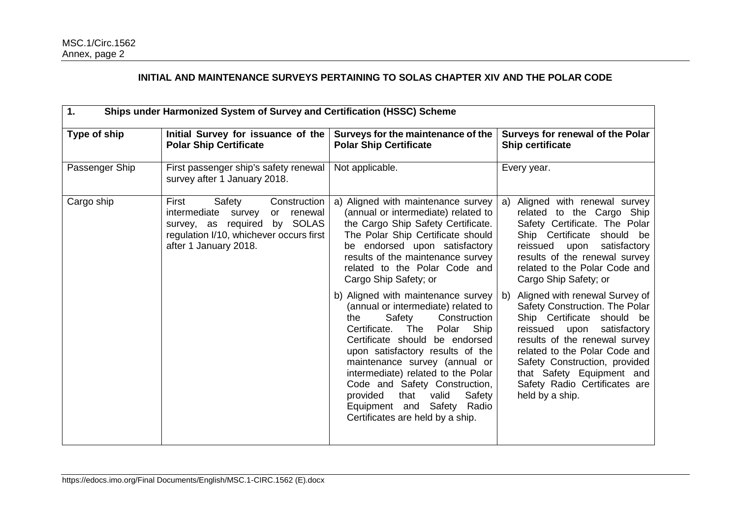## **INITIAL AND MAINTENANCE SURVEYS PERTAINING TO SOLAS CHAPTER XIV AND THE POLAR CODE**

| 1.<br>Ships under Harmonized System of Survey and Certification (HSSC) Scheme |                                                                                                                                                                             |                                                                                                                                                                                                                                                                                                                                                                                                                                                                                                                                                                                                                                                                                                                                |                                                                                                                                                                                                                                                                                                                                                                                                                                                                                                                                                                                     |  |
|-------------------------------------------------------------------------------|-----------------------------------------------------------------------------------------------------------------------------------------------------------------------------|--------------------------------------------------------------------------------------------------------------------------------------------------------------------------------------------------------------------------------------------------------------------------------------------------------------------------------------------------------------------------------------------------------------------------------------------------------------------------------------------------------------------------------------------------------------------------------------------------------------------------------------------------------------------------------------------------------------------------------|-------------------------------------------------------------------------------------------------------------------------------------------------------------------------------------------------------------------------------------------------------------------------------------------------------------------------------------------------------------------------------------------------------------------------------------------------------------------------------------------------------------------------------------------------------------------------------------|--|
| Type of ship                                                                  | Initial Survey for issuance of the<br><b>Polar Ship Certificate</b>                                                                                                         | Surveys for the maintenance of the<br><b>Polar Ship Certificate</b>                                                                                                                                                                                                                                                                                                                                                                                                                                                                                                                                                                                                                                                            | Surveys for renewal of the Polar<br><b>Ship certificate</b>                                                                                                                                                                                                                                                                                                                                                                                                                                                                                                                         |  |
| Passenger Ship                                                                | First passenger ship's safety renewal<br>survey after 1 January 2018.                                                                                                       | Not applicable.                                                                                                                                                                                                                                                                                                                                                                                                                                                                                                                                                                                                                                                                                                                | Every year.                                                                                                                                                                                                                                                                                                                                                                                                                                                                                                                                                                         |  |
| Cargo ship                                                                    | Safety<br>Construction<br>First<br>renewal<br>intermediate survey<br>or<br>survey, as required by SOLAS<br>regulation I/10, whichever occurs first<br>after 1 January 2018. | a) Aligned with maintenance survey<br>(annual or intermediate) related to<br>the Cargo Ship Safety Certificate.<br>The Polar Ship Certificate should<br>be endorsed upon satisfactory<br>results of the maintenance survey<br>related to the Polar Code and<br>Cargo Ship Safety; or<br>b) Aligned with maintenance survey<br>(annual or intermediate) related to<br>Safety<br>Construction<br>the<br>Certificate. The<br>Polar<br>Ship<br>Certificate should be endorsed<br>upon satisfactory results of the<br>maintenance survey (annual or<br>intermediate) related to the Polar<br>Code and Safety Construction,<br>provided<br>that<br>valid<br>Safety<br>Equipment and Safety Radio<br>Certificates are held by a ship. | a) Aligned with renewal survey<br>related to the Cargo Ship<br>Safety Certificate. The Polar<br>Ship Certificate should be<br>reissued<br>satisfactory<br>upon<br>results of the renewal survey<br>related to the Polar Code and<br>Cargo Ship Safety; or<br>b) Aligned with renewal Survey of<br>Safety Construction. The Polar<br>Ship Certificate should be<br>reissued upon<br>satisfactory<br>results of the renewal survey<br>related to the Polar Code and<br>Safety Construction, provided<br>that Safety Equipment and<br>Safety Radio Certificates are<br>held by a ship. |  |